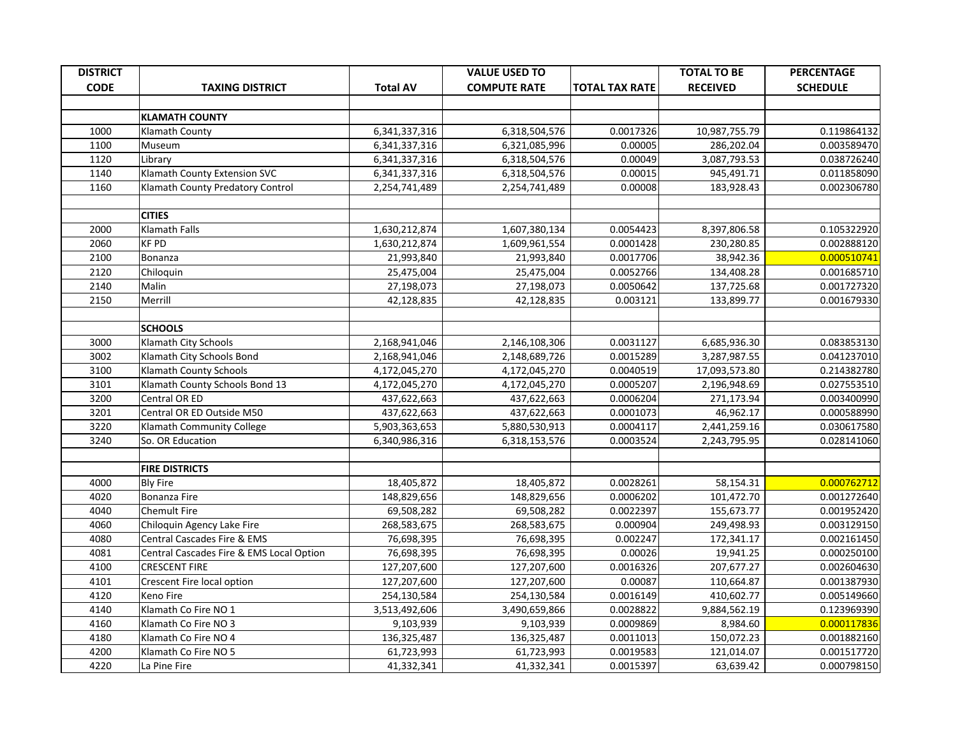| <b>DISTRICT</b> |                                          |                 | <b>VALUE USED TO</b> |                       | <b>TOTAL TO BE</b> | <b>PERCENTAGE</b> |
|-----------------|------------------------------------------|-----------------|----------------------|-----------------------|--------------------|-------------------|
| <b>CODE</b>     | <b>TAXING DISTRICT</b>                   | <b>Total AV</b> | <b>COMPUTE RATE</b>  | <b>TOTAL TAX RATE</b> | <b>RECEIVED</b>    | <b>SCHEDULE</b>   |
|                 |                                          |                 |                      |                       |                    |                   |
|                 | <b>KLAMATH COUNTY</b>                    |                 |                      |                       |                    |                   |
| 1000            | Klamath County                           | 6,341,337,316   | 6,318,504,576        | 0.0017326             | 10,987,755.79      | 0.119864132       |
| 1100            | Museum                                   | 6,341,337,316   | 6,321,085,996        | 0.00005               | 286,202.04         | 0.003589470       |
| 1120            | Library                                  | 6,341,337,316   | 6,318,504,576        | 0.00049               | 3,087,793.53       | 0.038726240       |
| 1140            | Klamath County Extension SVC             | 6,341,337,316   | 6,318,504,576        | 0.00015               | 945,491.71         | 0.011858090       |
| 1160            | Klamath County Predatory Control         | 2,254,741,489   | 2,254,741,489        | 0.00008               | 183,928.43         | 0.002306780       |
|                 |                                          |                 |                      |                       |                    |                   |
|                 | <b>CITIES</b>                            |                 |                      |                       |                    |                   |
| 2000            | Klamath Falls                            | 1,630,212,874   | 1,607,380,134        | 0.0054423             | 8,397,806.58       | 0.105322920       |
| 2060            | KF PD                                    | 1,630,212,874   | 1,609,961,554        | 0.0001428             | 230,280.85         | 0.002888120       |
| 2100            | Bonanza                                  | 21,993,840      | 21,993,840           | 0.0017706             | 38,942.36          | 0.000510741       |
| 2120            | Chiloquin                                | 25,475,004      | 25,475,004           | 0.0052766             | 134,408.28         | 0.001685710       |
| 2140            | Malin                                    | 27,198,073      | 27,198,073           | 0.0050642             | 137,725.68         | 0.001727320       |
| 2150            | Merrill                                  | 42,128,835      | 42,128,835           | 0.003121              | 133,899.77         | 0.001679330       |
|                 |                                          |                 |                      |                       |                    |                   |
|                 | <b>SCHOOLS</b>                           |                 |                      |                       |                    |                   |
| 3000            | Klamath City Schools                     | 2,168,941,046   | 2,146,108,306        | 0.0031127             | 6,685,936.30       | 0.083853130       |
| 3002            | Klamath City Schools Bond                | 2,168,941,046   | 2,148,689,726        | 0.0015289             | 3,287,987.55       | 0.041237010       |
| 3100            | Klamath County Schools                   | 4,172,045,270   | 4,172,045,270        | 0.0040519             | 17,093,573.80      | 0.214382780       |
| 3101            | Klamath County Schools Bond 13           | 4,172,045,270   | 4,172,045,270        | 0.0005207             | 2,196,948.69       | 0.027553510       |
| 3200            | Central OR ED                            | 437,622,663     | 437,622,663          | 0.0006204             | 271,173.94         | 0.003400990       |
| 3201            | Central OR ED Outside M50                | 437,622,663     | 437,622,663          | 0.0001073             | 46,962.17          | 0.000588990       |
| 3220            | Klamath Community College                | 5,903,363,653   | 5,880,530,913        | 0.0004117             | 2,441,259.16       | 0.030617580       |
| 3240            | So. OR Education                         | 6,340,986,316   | 6,318,153,576        | 0.0003524             | 2,243,795.95       | 0.028141060       |
|                 |                                          |                 |                      |                       |                    |                   |
|                 | <b>FIRE DISTRICTS</b>                    |                 |                      |                       |                    |                   |
| 4000            | <b>Bly Fire</b>                          | 18,405,872      | 18,405,872           | 0.0028261             | 58,154.31          | 0.000762712       |
| 4020            | <b>Bonanza Fire</b>                      | 148,829,656     | 148,829,656          | 0.0006202             | 101,472.70         | 0.001272640       |
| 4040            | <b>Chemult Fire</b>                      | 69,508,282      | 69,508,282           | 0.0022397             | 155,673.77         | 0.001952420       |
| 4060            | Chiloquin Agency Lake Fire               | 268,583,675     | 268,583,675          | 0.000904              | 249,498.93         | 0.003129150       |
| 4080            | Central Cascades Fire & EMS              | 76,698,395      | 76,698,395           | 0.002247              | 172,341.17         | 0.002161450       |
| 4081            | Central Cascades Fire & EMS Local Option | 76,698,395      | 76,698,395           | 0.00026               | 19,941.25          | 0.000250100       |
| 4100            | <b>CRESCENT FIRE</b>                     | 127,207,600     | 127,207,600          | 0.0016326             | 207,677.27         | 0.002604630       |
| 4101            | Crescent Fire local option               | 127,207,600     | 127,207,600          | 0.00087               | 110,664.87         | 0.001387930       |
| 4120            | Keno Fire                                | 254,130,584     | 254,130,584          | 0.0016149             | 410,602.77         | 0.005149660       |
| 4140            | Klamath Co Fire NO 1                     | 3,513,492,606   | 3,490,659,866        | 0.0028822             | 9,884,562.19       | 0.123969390       |
| 4160            | Klamath Co Fire NO 3                     | 9,103,939       | 9,103,939            | 0.0009869             | 8,984.60           | 0.000117836       |
| 4180            | Klamath Co Fire NO 4                     | 136,325,487     | 136,325,487          | 0.0011013             | 150,072.23         | 0.001882160       |
| 4200            | Klamath Co Fire NO 5                     | 61,723,993      | 61,723,993           | 0.0019583             | 121,014.07         | 0.001517720       |
| 4220            | La Pine Fire                             | 41,332,341      | 41,332,341           | 0.0015397             | 63,639.42          | 0.000798150       |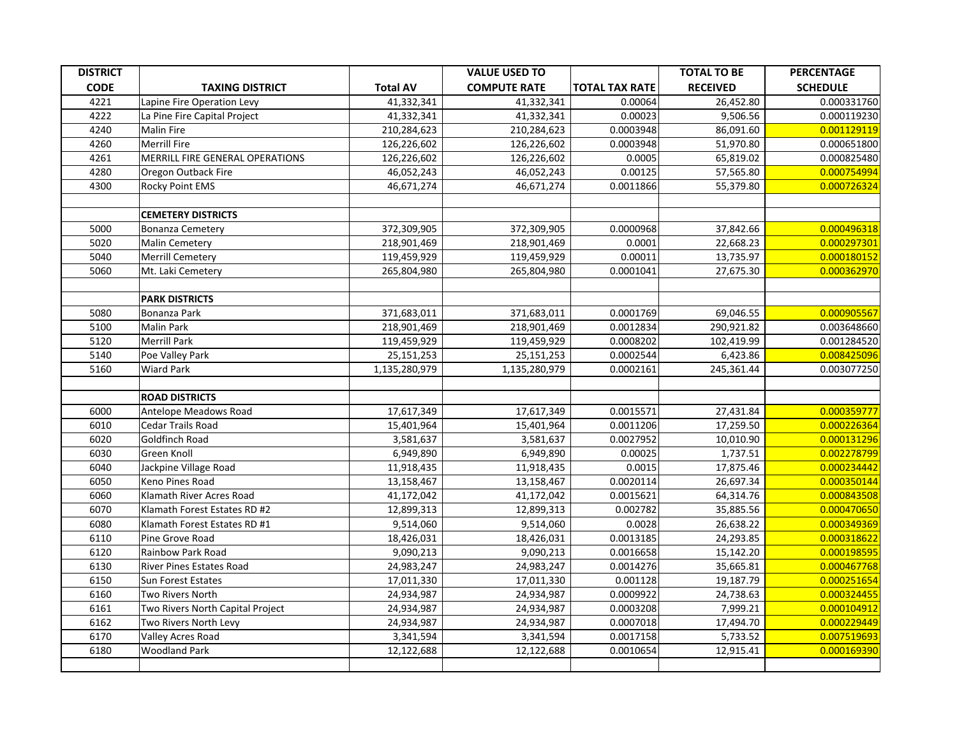| <b>DISTRICT</b> |                                  |                 | <b>VALUE USED TO</b> |                       | <b>TOTAL TO BE</b> | <b>PERCENTAGE</b> |
|-----------------|----------------------------------|-----------------|----------------------|-----------------------|--------------------|-------------------|
| <b>CODE</b>     | <b>TAXING DISTRICT</b>           | <b>Total AV</b> | <b>COMPUTE RATE</b>  | <b>TOTAL TAX RATE</b> | <b>RECEIVED</b>    | <b>SCHEDULE</b>   |
| 4221            | Lapine Fire Operation Levy       | 41,332,341      | 41,332,341           | 0.00064               | 26,452.80          | 0.000331760       |
| 4222            | La Pine Fire Capital Project     | 41,332,341      | 41,332,341           | 0.00023               | 9,506.56           | 0.000119230       |
| 4240            | Malin Fire                       | 210,284,623     | 210,284,623          | 0.0003948             | 86,091.60          | 0.001129119       |
| 4260            | <b>Merrill Fire</b>              | 126,226,602     | 126,226,602          | 0.0003948             | 51,970.80          | 0.000651800       |
| 4261            | MERRILL FIRE GENERAL OPERATIONS  | 126,226,602     | 126,226,602          | 0.0005                | 65,819.02          | 0.000825480       |
| 4280            | Oregon Outback Fire              | 46,052,243      | 46,052,243           | 0.00125               | 57,565.80          | 0.000754994       |
| 4300            | Rocky Point EMS                  | 46,671,274      | 46,671,274           | 0.0011866             | 55,379.80          | 0.000726324       |
|                 |                                  |                 |                      |                       |                    |                   |
|                 | <b>CEMETERY DISTRICTS</b>        |                 |                      |                       |                    |                   |
| 5000            | <b>Bonanza Cemetery</b>          | 372,309,905     | 372,309,905          | 0.0000968             | 37,842.66          | 0.000496318       |
| 5020            | <b>Malin Cemetery</b>            | 218,901,469     | 218,901,469          | 0.0001                | 22,668.23          | 0.000297301       |
| 5040            | <b>Merrill Cemetery</b>          | 119,459,929     | 119,459,929          | 0.00011               | 13,735.97          | 0.000180152       |
| 5060            | Mt. Laki Cemetery                | 265,804,980     | 265,804,980          | 0.0001041             | 27,675.30          | 0.000362970       |
|                 |                                  |                 |                      |                       |                    |                   |
|                 | <b>PARK DISTRICTS</b>            |                 |                      |                       |                    |                   |
| 5080            | Bonanza Park                     | 371,683,011     | 371,683,011          | 0.0001769             | 69,046.55          | 0.000905567       |
| 5100            | Malin Park                       | 218,901,469     | 218,901,469          | 0.0012834             | 290,921.82         | 0.003648660       |
| 5120            | Merrill Park                     | 119,459,929     | 119,459,929          | 0.0008202             | 102,419.99         | 0.001284520       |
| 5140            | Poe Valley Park                  | 25, 151, 253    | 25,151,253           | 0.0002544             | 6,423.86           | 0.008425096       |
| 5160            | <b>Wiard Park</b>                | 1,135,280,979   | 1,135,280,979        | 0.0002161             | 245,361.44         | 0.003077250       |
|                 |                                  |                 |                      |                       |                    |                   |
|                 | <b>ROAD DISTRICTS</b>            |                 |                      |                       |                    |                   |
| 6000            | Antelope Meadows Road            | 17,617,349      | 17,617,349           | 0.0015571             | 27,431.84          | 0.000359777       |
| 6010            | Cedar Trails Road                | 15,401,964      | 15,401,964           | 0.0011206             | 17,259.50          | 0.000226364       |
| 6020            | Goldfinch Road                   | 3,581,637       | 3,581,637            | 0.0027952             | 10,010.90          | 0.000131296       |
| 6030            | Green Knoll                      | 6,949,890       | 6,949,890            | 0.00025               | 1,737.51           | 0.002278799       |
| 6040            | Jackpine Village Road            | 11,918,435      | 11,918,435           | 0.0015                | 17,875.46          | 0.000234442       |
| 6050            | Keno Pines Road                  | 13,158,467      | 13,158,467           | 0.0020114             | 26,697.34          | 0.000350144       |
| 6060            | Klamath River Acres Road         | 41,172,042      | 41,172,042           | 0.0015621             | 64,314.76          | 0.000843508       |
| 6070            | Klamath Forest Estates RD #2     | 12,899,313      | 12,899,313           | 0.002782              | 35,885.56          | 0.000470650       |
| 6080            | Klamath Forest Estates RD #1     | 9,514,060       | 9,514,060            | 0.0028                | 26,638.22          | 0.000349369       |
| 6110            | Pine Grove Road                  | 18,426,031      | 18,426,031           | 0.0013185             | 24,293.85          | 0.000318622       |
| 6120            | Rainbow Park Road                | 9,090,213       | 9,090,213            | 0.0016658             | 15,142.20          | 0.000198595       |
| 6130            | River Pines Estates Road         | 24,983,247      | 24,983,247           | 0.0014276             | 35,665.81          | 0.000467768       |
| 6150            | Sun Forest Estates               | 17,011,330      | 17,011,330           | 0.001128              | 19,187.79          | 0.000251654       |
| 6160            | Two Rivers North                 | 24,934,987      | 24,934,987           | 0.0009922             | 24,738.63          | 0.000324455       |
| 6161            | Two Rivers North Capital Project | 24,934,987      | 24,934,987           | 0.0003208             | 7,999.21           | 0.000104912       |
| 6162            | Two Rivers North Levy            | 24,934,987      | 24,934,987           | 0.0007018             | 17,494.70          | 0.000229449       |
| 6170            | Valley Acres Road                | 3,341,594       | 3,341,594            | 0.0017158             | 5,733.52           | 0.007519693       |
| 6180            | Woodland Park                    | 12,122,688      | 12,122,688           | 0.0010654             | 12,915.41          | 0.000169390       |
|                 |                                  |                 |                      |                       |                    |                   |